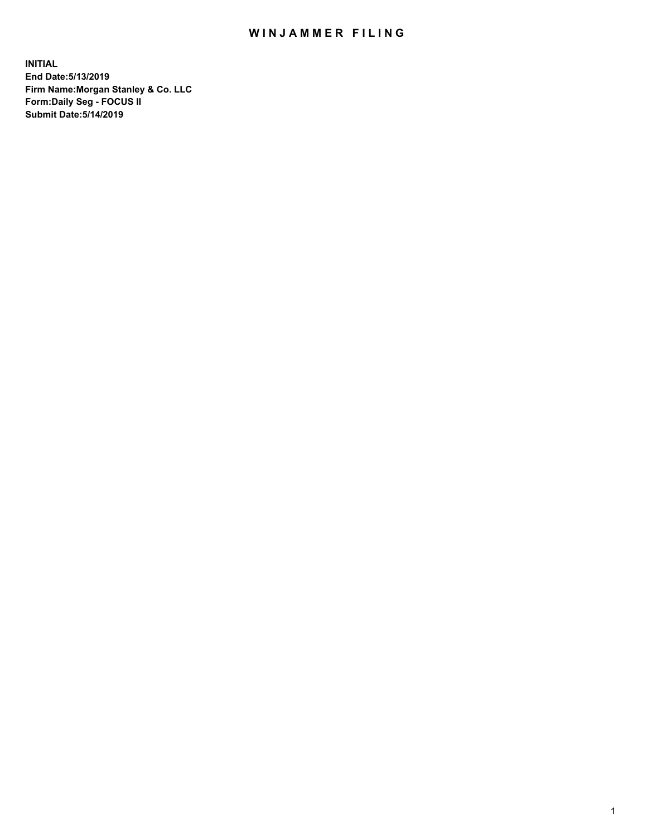## WIN JAMMER FILING

**INITIAL End Date:5/13/2019 Firm Name:Morgan Stanley & Co. LLC Form:Daily Seg - FOCUS II Submit Date:5/14/2019**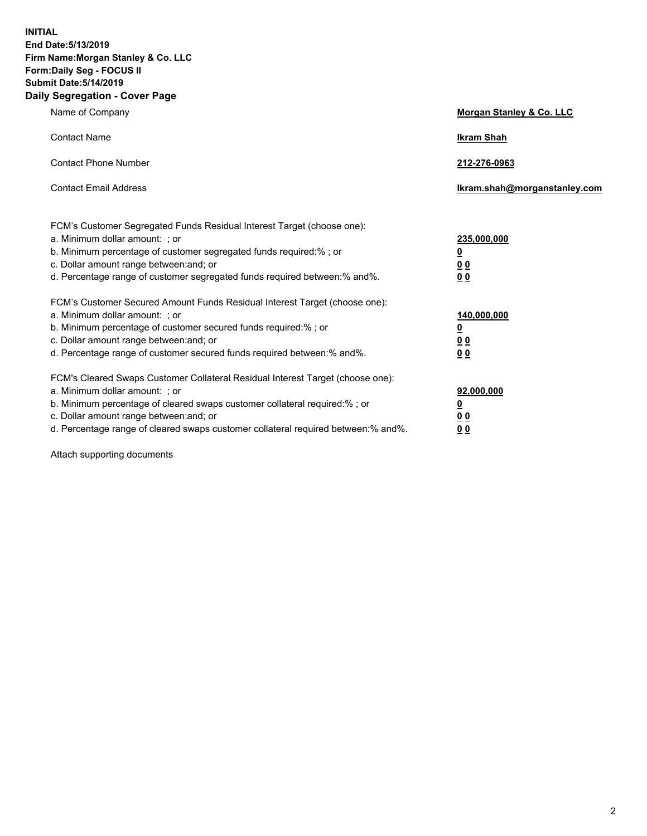**INITIAL End Date:5/13/2019 Firm Name:Morgan Stanley & Co. LLC Form:Daily Seg - FOCUS II Submit Date:5/14/2019 Daily Segregation - Cover Page**

| Name of Company                                                                   | Morgan Stanley & Co. LLC     |
|-----------------------------------------------------------------------------------|------------------------------|
| <b>Contact Name</b>                                                               | <b>Ikram Shah</b>            |
| <b>Contact Phone Number</b>                                                       | 212-276-0963                 |
| <b>Contact Email Address</b>                                                      | Ikram.shah@morganstanley.com |
| FCM's Customer Segregated Funds Residual Interest Target (choose one):            |                              |
| a. Minimum dollar amount: ; or                                                    | 235,000,000                  |
| b. Minimum percentage of customer segregated funds required:% ; or                | <u>0</u>                     |
| c. Dollar amount range between: and; or                                           | <u>0 0</u>                   |
| d. Percentage range of customer segregated funds required between: % and %.       | 00                           |
| FCM's Customer Secured Amount Funds Residual Interest Target (choose one):        |                              |
| a. Minimum dollar amount: ; or                                                    | 140,000,000                  |
| b. Minimum percentage of customer secured funds required:%; or                    | <u>0</u>                     |
| c. Dollar amount range between: and; or                                           | 0 <sub>0</sub>               |
| d. Percentage range of customer secured funds required between:% and%.            | 0 <sub>0</sub>               |
| FCM's Cleared Swaps Customer Collateral Residual Interest Target (choose one):    |                              |
| a. Minimum dollar amount: ; or                                                    | 92,000,000                   |
| b. Minimum percentage of cleared swaps customer collateral required:% ; or        | <u>0</u>                     |
| c. Dollar amount range between: and; or                                           | 0 Q                          |
| d. Percentage range of cleared swaps customer collateral required between:% and%. | 00                           |

Attach supporting documents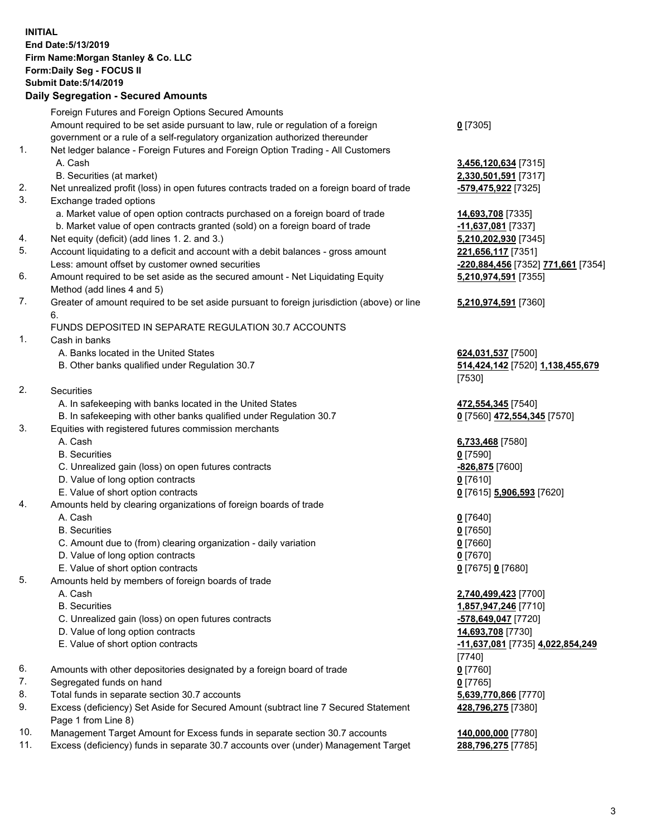## **INITIAL End Date:5/13/2019 Firm Name:Morgan Stanley & Co. LLC Form:Daily Seg - FOCUS II Submit Date:5/14/2019**

## **Daily Segregation - Secured Amounts**

Foreign Futures and Foreign Options Secured Amounts Amount required to be set aside pursuant to law, rule or regulation of a foreign government or a rule of a self-regulatory organization authorized thereunder 1. Net ledger balance - Foreign Futures and Foreign Option Trading - All Customers A. Cash **3,456,120,634** [7315] B. Securities (at market) **2,330,501,591** [7317] 2. Net unrealized profit (loss) in open futures contracts traded on a foreign board of trade **-579,475,922** [7325] 3. Exchange traded options a. Market value of open option contracts purchased on a foreign board of trade **14,693,708** [7335] b. Market value of open contracts granted (sold) on a foreign board of trade **-11,637,081** [7337] 4. Net equity (deficit) (add lines 1. 2. and 3.) **5,210,202,930** [7345] 5. Account liquidating to a deficit and account with a debit balances - gross amount **221,656,117** [7351] Less: amount offset by customer owned securities **-220,884,456** [7352] **771,661** [7354] 6. Amount required to be set aside as the secured amount - Net Liquidating Equity Method (add lines 4 and 5) 7. Greater of amount required to be set aside pursuant to foreign jurisdiction (above) or line 6. FUNDS DEPOSITED IN SEPARATE REGULATION 30.7 ACCOUNTS 1. Cash in banks A. Banks located in the United States **624,031,537** [7500] B. Other banks qualified under Regulation 30.7 **514,424,142** [7520] **1,138,455,679** 2. Securities A. In safekeeping with banks located in the United States **472,554,345** [7540] B. In safekeeping with other banks qualified under Regulation 30.7 **0** [7560] **472,554,345** [7570] 3. Equities with registered futures commission merchants A. Cash **6,733,468** [7580] B. Securities **0** [7590] C. Unrealized gain (loss) on open futures contracts **-826,875** [7600] D. Value of long option contracts **0** [7610] E. Value of short option contracts **0** [7615] **5,906,593** [7620] 4. Amounts held by clearing organizations of foreign boards of trade A. Cash **0** [7640] B. Securities **0** [7650] C. Amount due to (from) clearing organization - daily variation **0** [7660] D. Value of long option contracts **0** [7670] E. Value of short option contracts **0** [7675] **0** [7680] 5. Amounts held by members of foreign boards of trade A. Cash **2,740,499,423** [7700] B. Securities **1,857,947,246** [7710] C. Unrealized gain (loss) on open futures contracts **-578,649,047** [7720] D. Value of long option contracts **14,693,708** [7730] E. Value of short option contracts **-11,637,081** [7735] **4,022,854,249** 6. Amounts with other depositories designated by a foreign board of trade **0** [7760] 7. Segregated funds on hand **0** [7765] 8. Total funds in separate section 30.7 accounts **5,639,770,866** [7770] 9. Excess (deficiency) Set Aside for Secured Amount (subtract line 7 Secured Statement Page 1 from Line 8)

- 10. Management Target Amount for Excess funds in separate section 30.7 accounts **140,000,000** [7780]
- 11. Excess (deficiency) funds in separate 30.7 accounts over (under) Management Target **288,796,275** [7785]

**0** [7305]

**5,210,974,591** [7355]

## **5,210,974,591** [7360]

[7530]

[7740] **428,796,275** [7380]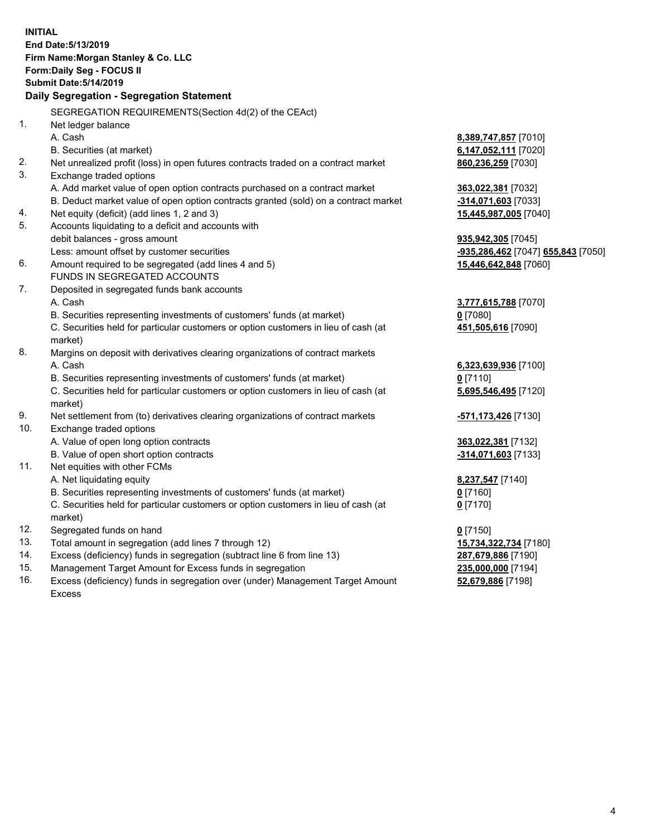|     | <b>INITIAL</b><br>End Date: 5/13/2019<br>Firm Name: Morgan Stanley & Co. LLC<br>Form: Daily Seg - FOCUS II<br><b>Submit Date: 5/14/2019</b><br>Daily Segregation - Segregation Statement |                                    |
|-----|------------------------------------------------------------------------------------------------------------------------------------------------------------------------------------------|------------------------------------|
|     | SEGREGATION REQUIREMENTS(Section 4d(2) of the CEAct)                                                                                                                                     |                                    |
| 1.  | Net ledger balance                                                                                                                                                                       |                                    |
|     | A. Cash                                                                                                                                                                                  | 8,389,747,857 [7010]               |
|     | B. Securities (at market)                                                                                                                                                                | 6,147,052,111 [7020]               |
| 2.  | Net unrealized profit (loss) in open futures contracts traded on a contract market                                                                                                       | 860,236,259 [7030]                 |
| 3.  | Exchange traded options                                                                                                                                                                  |                                    |
|     | A. Add market value of open option contracts purchased on a contract market                                                                                                              | 363,022,381 [7032]                 |
|     | B. Deduct market value of open option contracts granted (sold) on a contract market                                                                                                      | <u>-314,071,603</u> [7033]         |
| 4.  | Net equity (deficit) (add lines 1, 2 and 3)                                                                                                                                              | 15,445,987,005 [7040]              |
| 5.  | Accounts liquidating to a deficit and accounts with                                                                                                                                      |                                    |
|     | debit balances - gross amount                                                                                                                                                            | 935,942,305 [7045]                 |
|     | Less: amount offset by customer securities                                                                                                                                               | -935,286,462 [7047] 655,843 [7050] |
| 6.  | Amount required to be segregated (add lines 4 and 5)                                                                                                                                     | 15,446,642,848 [7060]              |
|     | <b>FUNDS IN SEGREGATED ACCOUNTS</b>                                                                                                                                                      |                                    |
| 7.  | Deposited in segregated funds bank accounts                                                                                                                                              |                                    |
|     | A. Cash                                                                                                                                                                                  | <u>3,777,615,788</u> [7070]        |
|     | B. Securities representing investments of customers' funds (at market)                                                                                                                   | <u>0</u> [7080]                    |
|     | C. Securities held for particular customers or option customers in lieu of cash (at<br>market)                                                                                           | 451,505,616 [7090]                 |
| 8.  | Margins on deposit with derivatives clearing organizations of contract markets                                                                                                           |                                    |
|     | A. Cash                                                                                                                                                                                  | 6,323,639,936 [7100]               |
|     | B. Securities representing investments of customers' funds (at market)                                                                                                                   | $0$ [7110]                         |
|     | C. Securities held for particular customers or option customers in lieu of cash (at<br>market)                                                                                           | 5,695,546,495 [7120]               |
| 9.  | Net settlement from (to) derivatives clearing organizations of contract markets                                                                                                          | <u>-<b>571,173,426</b> [</u> 7130] |
| 10. | Exchange traded options                                                                                                                                                                  |                                    |
|     | A. Value of open long option contracts                                                                                                                                                   | 363,022,381 [7132]                 |
|     | B. Value of open short option contracts                                                                                                                                                  | -314,071,603 [7133]                |
| 11. | Net equities with other FCMs                                                                                                                                                             |                                    |
|     | A. Net liquidating equity                                                                                                                                                                | 8,237,547 [7140]                   |
|     | B. Securities representing investments of customers' funds (at market)                                                                                                                   | $0$ [7160]                         |
|     | C. Securities held for particular customers or option customers in lieu of cash (at                                                                                                      | $0$ [7170]                         |
|     | market)                                                                                                                                                                                  |                                    |
| 12. | Segregated funds on hand                                                                                                                                                                 | $0$ [7150]                         |
| 13. | Total amount in segregation (add lines 7 through 12)                                                                                                                                     | 15,734,322,734 [7180]              |
| 14. | Excess (deficiency) funds in segregation (subtract line 6 from line 13)                                                                                                                  | 287,679,886 [7190]                 |
| 15. | Management Target Amount for Excess funds in segregation                                                                                                                                 | 235,000,000 [7194]                 |

16. Excess (deficiency) funds in segregation over (under) Management Target Amount Excess

**52,679,886** [7198]